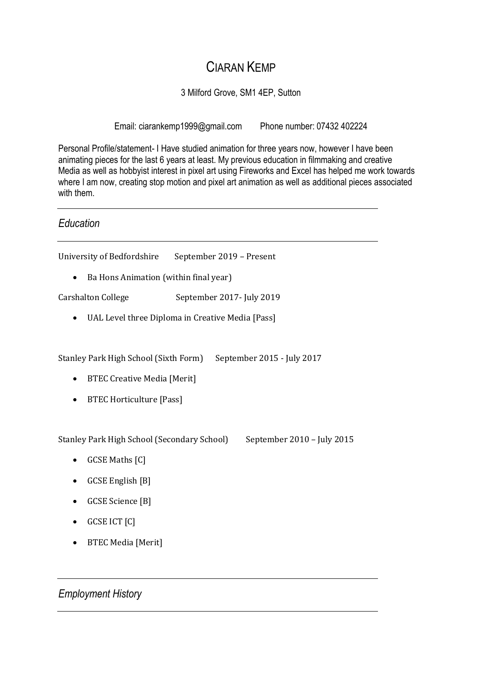## CIARAN KEMP

3 Milford Grove, SM1 4EP, Sutton

Email: ciarankemp1999@gmail.com Phone number: 07432 402224

Personal Profile/statement- I Have studied animation for three years now, however I have been animating pieces for the last 6 years at least. My previous education in filmmaking and creative Media as well as hobbyist interest in pixel art using Fireworks and Excel has helped me work towards where I am now, creating stop motion and pixel art animation as well as additional pieces associated with them.

## *Education*

University of Bedfordshire September 2019 - Present

• Ba Hons Animation (within final year)

Carshalton College September 2017- July 2019

• UAL Level three Diploma in Creative Media [Pass]

Stanley Park High School (Sixth Form) September 2015 - July 2017

- BTEC Creative Media [Merit]
- BTEC Horticulture [Pass]

Stanley Park High School (Secondary School) September 2010 - July 2015

- GCSE Maths [C]
- GCSE English [B]
- GCSE Science [B]
- GCSE ICT [C]
- BTEC Media [Merit]

## *Employment History*